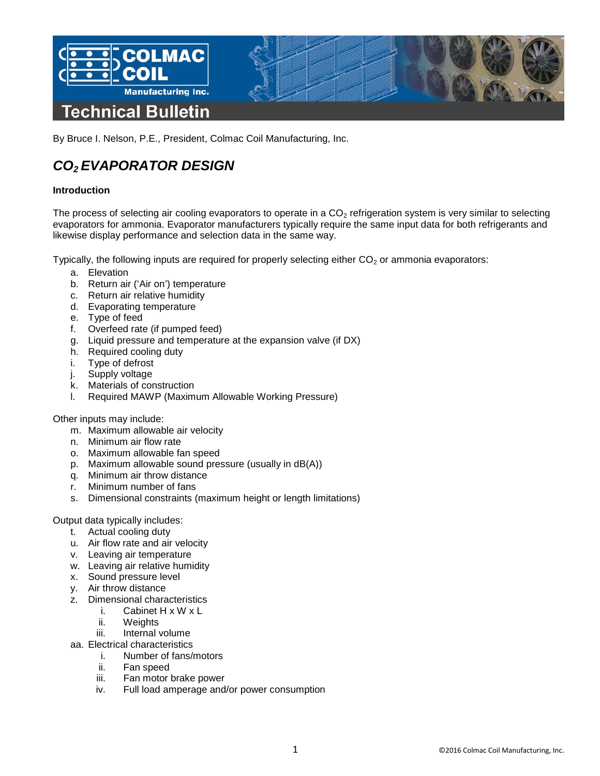

By Bruce I. Nelson, P.E., President, Colmac Coil Manufacturing, Inc.

# *CO2 EVAPORATOR DESIGN*

# **Introduction**

The process of selecting air cooling evaporators to operate in a  $CO<sub>2</sub>$  refrigeration system is very similar to selecting evaporators for ammonia. Evaporator manufacturers typically require the same input data for both refrigerants and likewise display performance and selection data in the same way.

Typically, the following inputs are required for properly selecting either  $CO<sub>2</sub>$  or ammonia evaporators:

- a. Elevation
- b. Return air ('Air on') temperature
- c. Return air relative humidity
- d. Evaporating temperature
- e. Type of feed
- f. Overfeed rate (if pumped feed)
- g. Liquid pressure and temperature at the expansion valve (if DX)
- h. Required cooling duty
- i. Type of defrost
- j. Supply voltage
- k. Materials of construction
- l. Required MAWP (Maximum Allowable Working Pressure)

#### Other inputs may include:

- m. Maximum allowable air velocity
- n. Minimum air flow rate
- o. Maximum allowable fan speed
- p. Maximum allowable sound pressure (usually in dB(A))
- q. Minimum air throw distance
- r. Minimum number of fans
- s. Dimensional constraints (maximum height or length limitations)

Output data typically includes:

- t. Actual cooling duty
- u. Air flow rate and air velocity
- v. Leaving air temperature
- w. Leaving air relative humidity
- x. Sound pressure level
- y. Air throw distance
- z. Dimensional characteristics
	- i. Cabinet H x W x L
	- ii. Weights
	- iii. Internal volume
- aa. Electrical characteristics
	- i. Number of fans/motors
		- ii. Fan speed
	- iii. Fan motor brake power
	- iv. Full load amperage and/or power consumption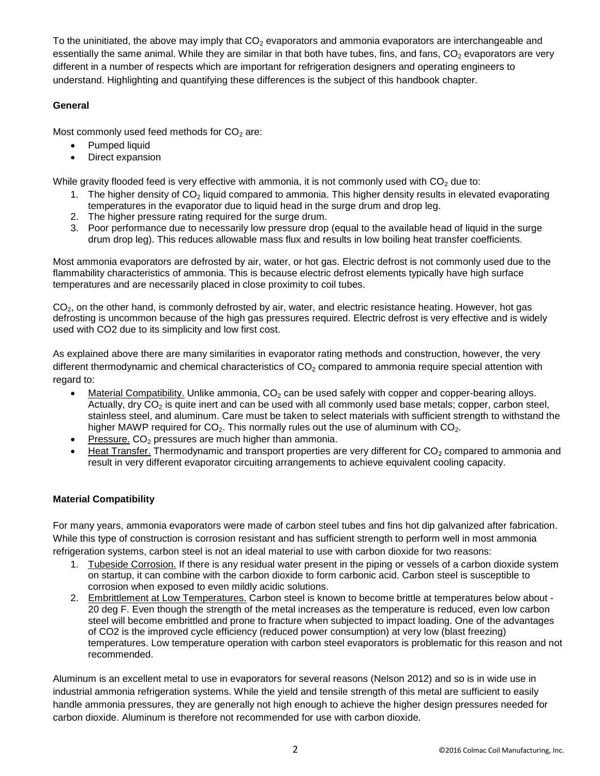To the uninitiated, the above may imply that  $CO<sub>2</sub>$  evaporators and ammonia evaporators are interchangeable and essentially the same animal. While they are similar in that both have tubes, fins, and fans,  $CO<sub>2</sub>$  evaporators are very different in a number of respects which are important for refrigeration designers and operating engineers to understand. Highlighting and quantifying these differences is the subject of this handbook chapter.

# **General**

Most commonly used feed methods for  $CO<sub>2</sub>$  are:

- Pumped liquid
- Direct expansion

While gravity flooded feed is very effective with ammonia, it is not commonly used with  $CO<sub>2</sub>$  due to:

- 1. The higher density of CO<sub>2</sub> liquid compared to ammonia. This higher density results in elevated evaporating temperatures in the evaporator due to liquid head in the surge drum and drop leg.
- 2. The higher pressure rating required for the surge drum.
- 3. Poor performance due to necessarily low pressure drop (equal to the available head of liquid in the surge drum drop leg). This reduces allowable mass flux and results in low boiling heat transfer coefficients.

Most ammonia evaporators are defrosted by air, water, or hot gas. Electric defrost is not commonly used due to the flammability characteristics of ammonia. This is because electric defrost elements typically have high surface temperatures and are necessarily placed in close proximity to coil tubes.

CO2, on the other hand, is commonly defrosted by air, water, and electric resistance heating. However, hot gas defrosting is uncommon because of the high gas pressures required. Electric defrost is very effective and is widely used with CO2 due to its simplicity and low first cost.

As explained above there are many similarities in evaporator rating methods and construction, however, the very different thermodynamic and chemical characteristics of  $CO<sub>2</sub>$  compared to ammonia require special attention with regard to:

- Material Compatibility. Unlike ammonia,  $CO<sub>2</sub>$  can be used safely with copper and copper-bearing alloys. Actually, dry  $CO<sub>2</sub>$  is quite inert and can be used with all commonly used base metals; copper, carbon steel, stainless steel, and aluminum. Care must be taken to select materials with sufficient strength to withstand the higher MAWP required for  $CO<sub>2</sub>$ . This normally rules out the use of aluminum with  $CO<sub>2</sub>$ .
- Pressure.  $CO<sub>2</sub>$  pressures are much higher than ammonia.
- Heat Transfer. Thermodynamic and transport properties are very different for  $CO<sub>2</sub>$  compared to ammonia and result in very different evaporator circuiting arrangements to achieve equivalent cooling capacity.

# **Material Compatibility**

For many years, ammonia evaporators were made of carbon steel tubes and fins hot dip galvanized after fabrication. While this type of construction is corrosion resistant and has sufficient strength to perform well in most ammonia refrigeration systems, carbon steel is not an ideal material to use with carbon dioxide for two reasons:

- 1. Tubeside Corrosion. If there is any residual water present in the piping or vessels of a carbon dioxide system on startup, it can combine with the carbon dioxide to form carbonic acid. Carbon steel is susceptible to corrosion when exposed to even mildly acidic solutions.
- 2. Embrittlement at Low Temperatures. Carbon steel is known to become brittle at temperatures below about 20 deg F. Even though the strength of the metal increases as the temperature is reduced, even low carbon steel will become embrittled and prone to fracture when subjected to impact loading. One of the advantages of CO2 is the improved cycle efficiency (reduced power consumption) at very low (blast freezing) temperatures. Low temperature operation with carbon steel evaporators is problematic for this reason and not recommended.

Aluminum is an excellent metal to use in evaporators for several reasons (Nelson 2012) and so is in wide use in industrial ammonia refrigeration systems. While the yield and tensile strength of this metal are sufficient to easily handle ammonia pressures, they are generally not high enough to achieve the higher design pressures needed for carbon dioxide. Aluminum is therefore not recommended for use with carbon dioxide.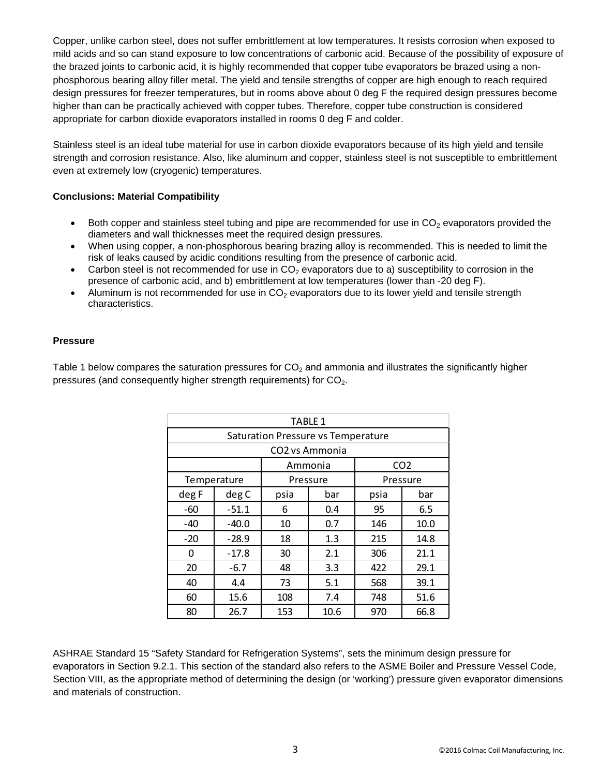Copper, unlike carbon steel, does not suffer embrittlement at low temperatures. It resists corrosion when exposed to mild acids and so can stand exposure to low concentrations of carbonic acid. Because of the possibility of exposure of the brazed joints to carbonic acid, it is highly recommended that copper tube evaporators be brazed using a nonphosphorous bearing alloy filler metal. The yield and tensile strengths of copper are high enough to reach required design pressures for freezer temperatures, but in rooms above about 0 deg F the required design pressures become higher than can be practically achieved with copper tubes. Therefore, copper tube construction is considered appropriate for carbon dioxide evaporators installed in rooms 0 deg F and colder.

Stainless steel is an ideal tube material for use in carbon dioxide evaporators because of its high yield and tensile strength and corrosion resistance. Also, like aluminum and copper, stainless steel is not susceptible to embrittlement even at extremely low (cryogenic) temperatures.

# **Conclusions: Material Compatibility**

- Both copper and stainless steel tubing and pipe are recommended for use in  $CO<sub>2</sub>$  evaporators provided the diameters and wall thicknesses meet the required design pressures.
- When using copper, a non-phosphorous bearing brazing alloy is recommended. This is needed to limit the risk of leaks caused by acidic conditions resulting from the presence of carbonic acid.
- Carbon steel is not recommended for use in  $CO<sub>2</sub>$  evaporators due to a) susceptibility to corrosion in the presence of carbonic acid, and b) embrittlement at low temperatures (lower than -20 deg F).
- Aluminum is not recommended for use in  $CO<sub>2</sub>$  evaporators due to its lower yield and tensile strength characteristics.

# **Pressure**

Table 1 below compares the saturation pressures for  $CO<sub>2</sub>$  and ammonia and illustrates the significantly higher pressures (and consequently higher strength requirements) for  $CO<sub>2</sub>$ .

| <b>TABLE 1</b>                            |         |          |      |                 |      |  |
|-------------------------------------------|---------|----------|------|-----------------|------|--|
| <b>Saturation Pressure vs Temperature</b> |         |          |      |                 |      |  |
| CO <sub>2</sub> vs Ammonia                |         |          |      |                 |      |  |
|                                           |         | Ammonia  |      | CO <sub>2</sub> |      |  |
| Temperature                               |         | Pressure |      | Pressure        |      |  |
| deg F                                     | deg C   | psia     | bar  | psia            | bar  |  |
| -60                                       | $-51.1$ | 6        | 0.4  | 95              | 6.5  |  |
| -40                                       | $-40.0$ | 10       | 0.7  | 146             | 10.0 |  |
| $-20$                                     | $-28.9$ | 18       | 1.3  | 215             | 14.8 |  |
| $\Omega$                                  | $-17.8$ | 30       | 2.1  | 306             | 21.1 |  |
| 20                                        | $-6.7$  | 48       | 3.3  | 422             | 29.1 |  |
| 40                                        | 4.4     | 73       | 5.1  | 568             | 39.1 |  |
| 60                                        | 15.6    | 108      | 7.4  | 748             | 51.6 |  |
| 80                                        | 26.7    | 153      | 10.6 | 970             | 66.8 |  |

ASHRAE Standard 15 "Safety Standard for Refrigeration Systems", sets the minimum design pressure for evaporators in Section 9.2.1. This section of the standard also refers to the ASME Boiler and Pressure Vessel Code, Section VIII, as the appropriate method of determining the design (or 'working') pressure given evaporator dimensions and materials of construction.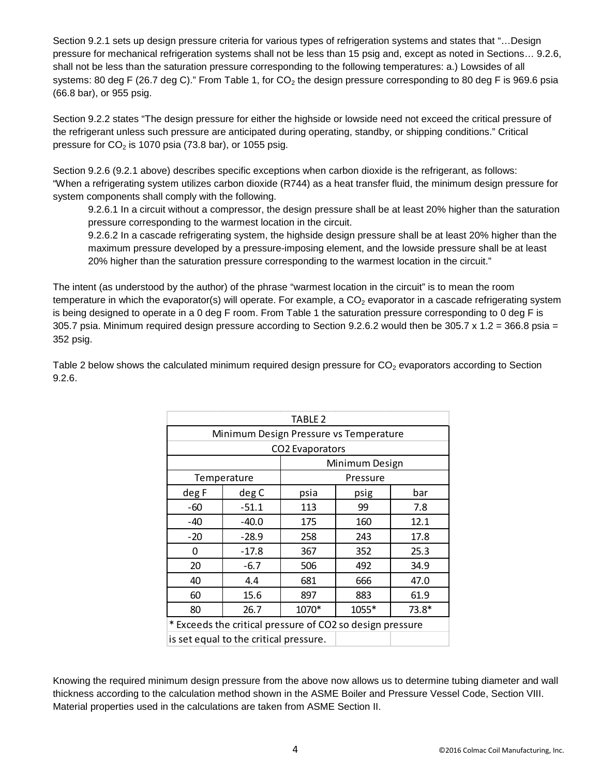Section 9.2.1 sets up design pressure criteria for various types of refrigeration systems and states that "…Design pressure for mechanical refrigeration systems shall not be less than 15 psig and, except as noted in Sections… 9.2.6, shall not be less than the saturation pressure corresponding to the following temperatures: a.) Lowsides of all systems: 80 deg F (26.7 deg C)." From Table 1, for  $CO<sub>2</sub>$  the design pressure corresponding to 80 deg F is 969.6 psia (66.8 bar), or 955 psig.

Section 9.2.2 states "The design pressure for either the highside or lowside need not exceed the critical pressure of the refrigerant unless such pressure are anticipated during operating, standby, or shipping conditions." Critical pressure for  $CO<sub>2</sub>$  is 1070 psia (73.8 bar), or 1055 psig.

Section 9.2.6 (9.2.1 above) describes specific exceptions when carbon dioxide is the refrigerant, as follows: "When a refrigerating system utilizes carbon dioxide (R744) as a heat transfer fluid, the minimum design pressure for system components shall comply with the following.

9.2.6.1 In a circuit without a compressor, the design pressure shall be at least 20% higher than the saturation pressure corresponding to the warmest location in the circuit.

9.2.6.2 In a cascade refrigerating system, the highside design pressure shall be at least 20% higher than the maximum pressure developed by a pressure-imposing element, and the lowside pressure shall be at least 20% higher than the saturation pressure corresponding to the warmest location in the circuit."

The intent (as understood by the author) of the phrase "warmest location in the circuit" is to mean the room temperature in which the evaporator(s) will operate. For example, a  $CO<sub>2</sub>$  evaporator in a cascade refrigerating system is being designed to operate in a 0 deg F room. From Table 1 the saturation pressure corresponding to 0 deg F is 305.7 psia. Minimum required design pressure according to Section 9.2.6.2 would then be 305.7  $\times$  1.2 = 366.8 psia = 352 psig.

| TABLE 2                                                   |                                        |                |       |         |  |  |
|-----------------------------------------------------------|----------------------------------------|----------------|-------|---------|--|--|
| Minimum Design Pressure vs Temperature                    |                                        |                |       |         |  |  |
| CO2 Evaporators                                           |                                        |                |       |         |  |  |
|                                                           |                                        | Minimum Design |       |         |  |  |
|                                                           | Temperature                            | Pressure       |       |         |  |  |
| deg F                                                     | deg C                                  | psia           | psig  | bar     |  |  |
| -60                                                       | $-51.1$                                | 113            | 99    | 7.8     |  |  |
| -40                                                       | $-40.0$                                | 175            | 160   | 12.1    |  |  |
| $-20$                                                     | $-28.9$                                | 258            | 243   | 17.8    |  |  |
| 0                                                         | $-17.8$                                | 367            | 352   | 25.3    |  |  |
| 20                                                        | $-6.7$                                 | 506            | 492   | 34.9    |  |  |
| 40                                                        | 4.4                                    | 681            | 666   | 47.0    |  |  |
| 60                                                        | 15.6                                   | 897            | 883   | 61.9    |  |  |
| 80                                                        | 26.7                                   | 1070*          | 1055* | $73.8*$ |  |  |
| * Exceeds the critical pressure of CO2 so design pressure |                                        |                |       |         |  |  |
|                                                           | is set equal to the critical pressure. |                |       |         |  |  |

Table 2 below shows the calculated minimum required design pressure for  $CO<sub>2</sub>$  evaporators according to Section 9.2.6.

Knowing the required minimum design pressure from the above now allows us to determine tubing diameter and wall thickness according to the calculation method shown in the ASME Boiler and Pressure Vessel Code, Section VIII. Material properties used in the calculations are taken from ASME Section II.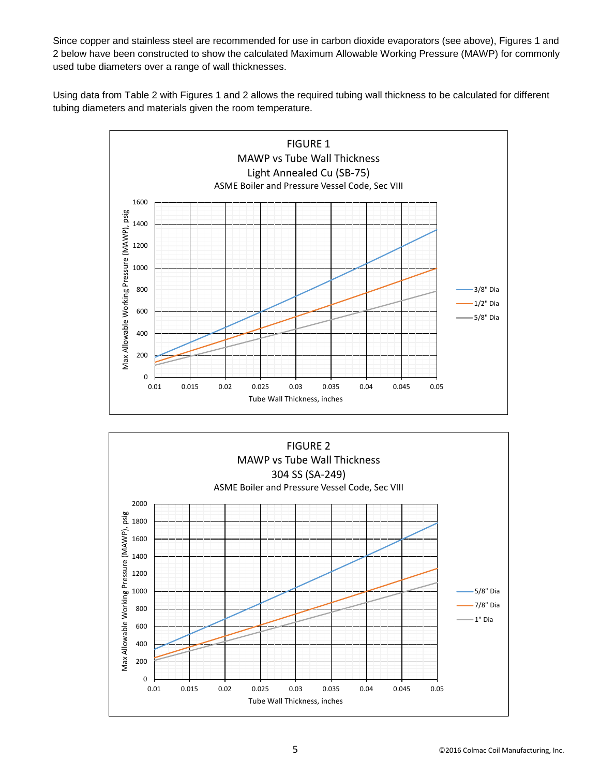Since copper and stainless steel are recommended for use in carbon dioxide evaporators (see above), Figures 1 and 2 below have been constructed to show the calculated Maximum Allowable Working Pressure (MAWP) for commonly used tube diameters over a range of wall thicknesses.

Using data from Table 2 with Figures 1 and 2 allows the required tubing wall thickness to be calculated for different tubing diameters and materials given the room temperature.



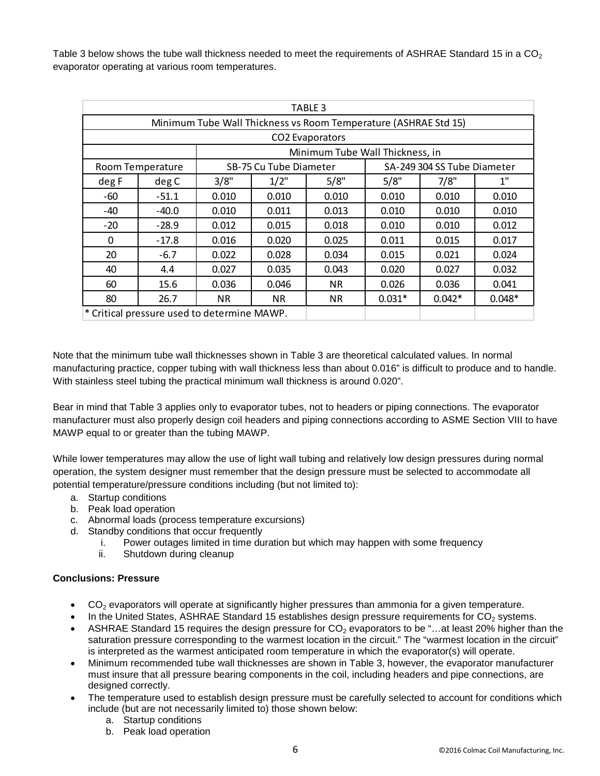Table 3 below shows the tube wall thickness needed to meet the requirements of ASHRAE Standard 15 in a  $CO<sub>2</sub>$ evaporator operating at various room temperatures.

| TABLE 3                                                         |         |                        |           |                                 |                             |          |          |  |
|-----------------------------------------------------------------|---------|------------------------|-----------|---------------------------------|-----------------------------|----------|----------|--|
| Minimum Tube Wall Thickness vs Room Temperature (ASHRAE Std 15) |         |                        |           |                                 |                             |          |          |  |
| CO <sub>2</sub> Evaporators                                     |         |                        |           |                                 |                             |          |          |  |
|                                                                 |         |                        |           | Minimum Tube Wall Thickness, in |                             |          |          |  |
| Room Temperature                                                |         | SB-75 Cu Tube Diameter |           |                                 | SA-249 304 SS Tube Diameter |          |          |  |
| deg F                                                           | deg C   | 3/8"                   | $1/2$ "   | 5/8"                            | 5/8"                        | 7/8"     | 1"       |  |
| -60                                                             | $-51.1$ | 0.010                  | 0.010     | 0.010                           | 0.010                       | 0.010    | 0.010    |  |
| -40                                                             | $-40.0$ | 0.010                  | 0.011     | 0.013                           | 0.010                       | 0.010    | 0.010    |  |
| $-20$                                                           | $-28.9$ | 0.012                  | 0.015     | 0.018                           | 0.010                       | 0.010    | 0.012    |  |
| 0                                                               | $-17.8$ | 0.016                  | 0.020     | 0.025                           | 0.011                       | 0.015    | 0.017    |  |
| 20                                                              | $-6.7$  | 0.022                  | 0.028     | 0.034                           | 0.015                       | 0.021    | 0.024    |  |
| 40                                                              | 4.4     | 0.027                  | 0.035     | 0.043                           | 0.020                       | 0.027    | 0.032    |  |
| 60                                                              | 15.6    | 0.036                  | 0.046     | <b>NR</b>                       | 0.026                       | 0.036    | 0.041    |  |
| 80                                                              | 26.7    | NR.                    | <b>NR</b> | <b>NR</b>                       | $0.031*$                    | $0.042*$ | $0.048*$ |  |
| * Critical pressure used to determine MAWP.                     |         |                        |           |                                 |                             |          |          |  |

Note that the minimum tube wall thicknesses shown in Table 3 are theoretical calculated values. In normal manufacturing practice, copper tubing with wall thickness less than about 0.016" is difficult to produce and to handle. With stainless steel tubing the practical minimum wall thickness is around 0.020".

Bear in mind that Table 3 applies only to evaporator tubes, not to headers or piping connections. The evaporator manufacturer must also properly design coil headers and piping connections according to ASME Section VIII to have MAWP equal to or greater than the tubing MAWP.

While lower temperatures may allow the use of light wall tubing and relatively low design pressures during normal operation, the system designer must remember that the design pressure must be selected to accommodate all potential temperature/pressure conditions including (but not limited to):

- a. Startup conditions
- b. Peak load operation
- c. Abnormal loads (process temperature excursions)
- d. Standby conditions that occur frequently
	- i. Power outages limited in time duration but which may happen with some frequency
	- ii. Shutdown during cleanup

# **Conclusions: Pressure**

- $CO<sub>2</sub>$  evaporators will operate at significantly higher pressures than ammonia for a given temperature.
- In the United States, ASHRAE Standard 15 establishes design pressure requirements for  $CO<sub>2</sub>$  systems.
- ASHRAE Standard 15 requires the design pressure for  $CO<sub>2</sub>$  evaporators to be "...at least 20% higher than the saturation pressure corresponding to the warmest location in the circuit." The "warmest location in the circuit" is interpreted as the warmest anticipated room temperature in which the evaporator(s) will operate.
- Minimum recommended tube wall thicknesses are shown in Table 3, however, the evaporator manufacturer must insure that all pressure bearing components in the coil, including headers and pipe connections, are designed correctly.
- The temperature used to establish design pressure must be carefully selected to account for conditions which include (but are not necessarily limited to) those shown below:
	- a. Startup conditions
	- b. Peak load operation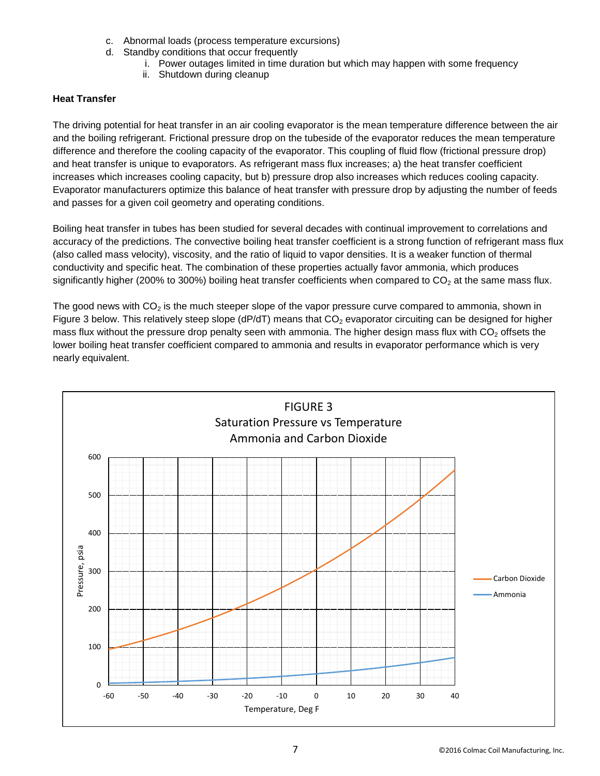- c. Abnormal loads (process temperature excursions)
- d. Standby conditions that occur frequently
	- i. Power outages limited in time duration but which may happen with some frequency
	- ii. Shutdown during cleanup

# **Heat Transfer**

The driving potential for heat transfer in an air cooling evaporator is the mean temperature difference between the air and the boiling refrigerant. Frictional pressure drop on the tubeside of the evaporator reduces the mean temperature difference and therefore the cooling capacity of the evaporator. This coupling of fluid flow (frictional pressure drop) and heat transfer is unique to evaporators. As refrigerant mass flux increases; a) the heat transfer coefficient increases which increases cooling capacity, but b) pressure drop also increases which reduces cooling capacity. Evaporator manufacturers optimize this balance of heat transfer with pressure drop by adjusting the number of feeds and passes for a given coil geometry and operating conditions.

Boiling heat transfer in tubes has been studied for several decades with continual improvement to correlations and accuracy of the predictions. The convective boiling heat transfer coefficient is a strong function of refrigerant mass flux (also called mass velocity), viscosity, and the ratio of liquid to vapor densities. It is a weaker function of thermal conductivity and specific heat. The combination of these properties actually favor ammonia, which produces significantly higher (200% to 300%) boiling heat transfer coefficients when compared to  $CO<sub>2</sub>$  at the same mass flux.

The good news with  $CO<sub>2</sub>$  is the much steeper slope of the vapor pressure curve compared to ammonia, shown in Figure 3 below. This relatively steep slope ( $dP/dT$ ) means that  $CO<sub>2</sub>$  evaporator circuiting can be designed for higher mass flux without the pressure drop penalty seen with ammonia. The higher design mass flux with  $CO<sub>2</sub>$  offsets the lower boiling heat transfer coefficient compared to ammonia and results in evaporator performance which is very nearly equivalent.

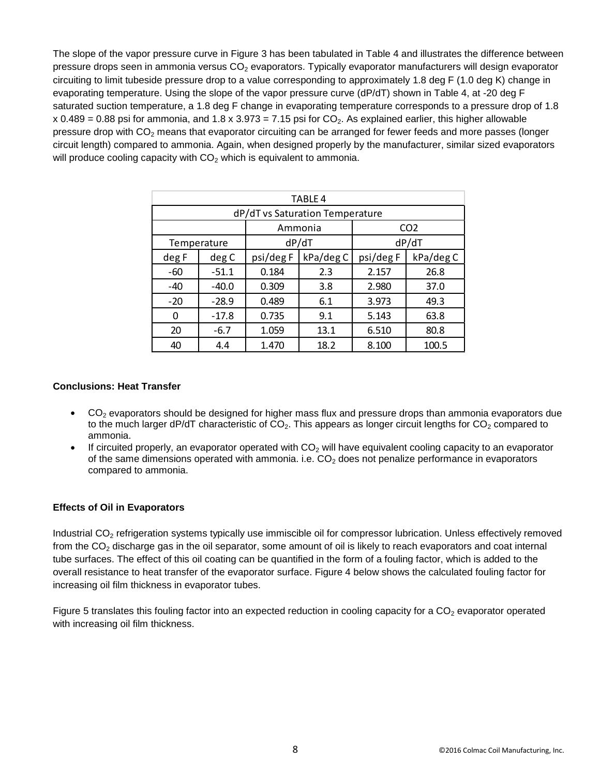The slope of the vapor pressure curve in Figure 3 has been tabulated in Table 4 and illustrates the difference between pressure drops seen in ammonia versus  $CO<sub>2</sub>$  evaporators. Typically evaporator manufacturers will design evaporator circuiting to limit tubeside pressure drop to a value corresponding to approximately 1.8 deg F (1.0 deg K) change in evaporating temperature. Using the slope of the vapor pressure curve (dP/dT) shown in Table 4, at -20 deg F saturated suction temperature, a 1.8 deg F change in evaporating temperature corresponds to a pressure drop of 1.8 x 0.489 = 0.88 psi for ammonia, and 1.8 x 3.973 = 7.15 psi for  $CO<sub>2</sub>$ . As explained earlier, this higher allowable pressure drop with CO<sub>2</sub> means that evaporator circuiting can be arranged for fewer feeds and more passes (longer circuit length) compared to ammonia. Again, when designed properly by the manufacturer, similar sized evaporators will produce cooling capacity with  $CO<sub>2</sub>$  which is equivalent to ammonia.

| <b>TABLE 4</b>                  |             |           |           |                 |           |  |  |
|---------------------------------|-------------|-----------|-----------|-----------------|-----------|--|--|
| dP/dT vs Saturation Temperature |             |           |           |                 |           |  |  |
|                                 |             | Ammonia   |           | CO <sub>2</sub> |           |  |  |
|                                 | Temperature |           | dP/dT     |                 | dP/dT     |  |  |
| deg F                           | deg C       | psi/deg F | kPa/deg C | psi/deg F       | kPa/deg C |  |  |
| -60                             | $-51.1$     | 0.184     | 2.3       | 2.157           | 26.8      |  |  |
| $-40$                           | $-40.0$     | 0.309     | 3.8       | 2.980           | 37.0      |  |  |
| $-20$                           | $-28.9$     | 0.489     | 6.1       | 3.973           | 49.3      |  |  |
| 0                               | $-17.8$     | 0.735     | 9.1       | 5.143           | 63.8      |  |  |
| 20                              | $-6.7$      | 1.059     | 13.1      | 6.510           | 80.8      |  |  |
| 40                              | 4.4         | 1.470     | 18.2      | 8.100           | 100.5     |  |  |

#### **Conclusions: Heat Transfer**

- $CO<sub>2</sub>$  evaporators should be designed for higher mass flux and pressure drops than ammonia evaporators due to the much larger dP/dT characteristic of  $CO<sub>2</sub>$ . This appears as longer circuit lengths for  $CO<sub>2</sub>$  compared to ammonia.
- If circuited properly, an evaporator operated with  $CO<sub>2</sub>$  will have equivalent cooling capacity to an evaporator of the same dimensions operated with ammonia. i.e.  $CO<sub>2</sub>$  does not penalize performance in evaporators compared to ammonia.

#### **Effects of Oil in Evaporators**

Industrial CO<sub>2</sub> refrigeration systems typically use immiscible oil for compressor lubrication. Unless effectively removed from the  $CO<sub>2</sub>$  discharge gas in the oil separator, some amount of oil is likely to reach evaporators and coat internal tube surfaces. The effect of this oil coating can be quantified in the form of a fouling factor, which is added to the overall resistance to heat transfer of the evaporator surface. Figure 4 below shows the calculated fouling factor for increasing oil film thickness in evaporator tubes.

Figure 5 translates this fouling factor into an expected reduction in cooling capacity for a  $CO<sub>2</sub>$  evaporator operated with increasing oil film thickness.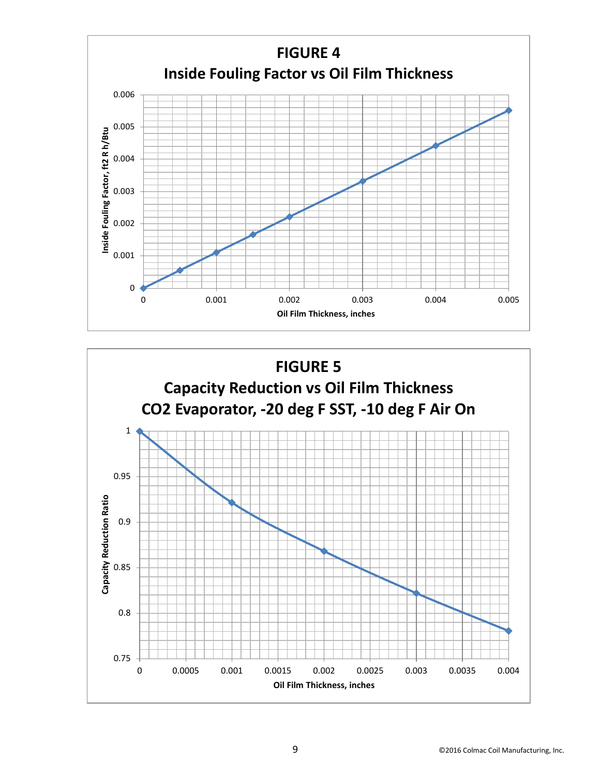

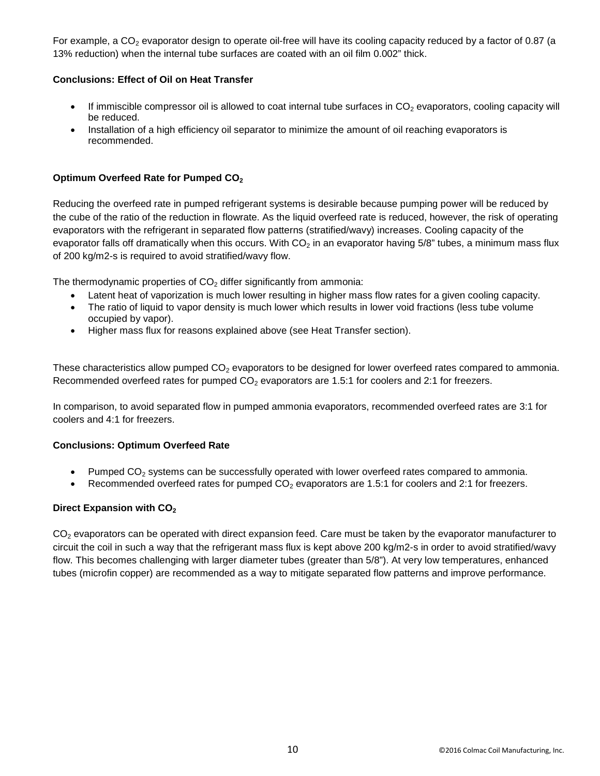For example, a CO<sub>2</sub> evaporator design to operate oil-free will have its cooling capacity reduced by a factor of 0.87 (a 13% reduction) when the internal tube surfaces are coated with an oil film 0.002" thick.

# **Conclusions: Effect of Oil on Heat Transfer**

- If immiscible compressor oil is allowed to coat internal tube surfaces in  $CO<sub>2</sub>$  evaporators, cooling capacity will be reduced.
- Installation of a high efficiency oil separator to minimize the amount of oil reaching evaporators is recommended.

# **Optimum Overfeed Rate for Pumped CO2**

Reducing the overfeed rate in pumped refrigerant systems is desirable because pumping power will be reduced by the cube of the ratio of the reduction in flowrate. As the liquid overfeed rate is reduced, however, the risk of operating evaporators with the refrigerant in separated flow patterns (stratified/wavy) increases. Cooling capacity of the evaporator falls off dramatically when this occurs. With  $CO<sub>2</sub>$  in an evaporator having 5/8" tubes, a minimum mass flux of 200 kg/m2-s is required to avoid stratified/wavy flow.

The thermodynamic properties of  $CO<sub>2</sub>$  differ significantly from ammonia:

- Latent heat of vaporization is much lower resulting in higher mass flow rates for a given cooling capacity.
- The ratio of liquid to vapor density is much lower which results in lower void fractions (less tube volume occupied by vapor).
- Higher mass flux for reasons explained above (see Heat Transfer section).

These characteristics allow pumped  $CO<sub>2</sub>$  evaporators to be designed for lower overfeed rates compared to ammonia. Recommended overfeed rates for pumped  $CO<sub>2</sub>$  evaporators are 1.5:1 for coolers and 2:1 for freezers.

In comparison, to avoid separated flow in pumped ammonia evaporators, recommended overfeed rates are 3:1 for coolers and 4:1 for freezers.

# **Conclusions: Optimum Overfeed Rate**

- Pumped  $CO<sub>2</sub>$  systems can be successfully operated with lower overfeed rates compared to ammonia.
- Recommended overfeed rates for pumped  $CO<sub>2</sub>$  evaporators are 1.5:1 for coolers and 2:1 for freezers.

# **Direct Expansion with CO<sub>2</sub>**

 $CO<sub>2</sub>$  evaporators can be operated with direct expansion feed. Care must be taken by the evaporator manufacturer to circuit the coil in such a way that the refrigerant mass flux is kept above 200 kg/m2-s in order to avoid stratified/wavy flow. This becomes challenging with larger diameter tubes (greater than 5/8"). At very low temperatures, enhanced tubes (microfin copper) are recommended as a way to mitigate separated flow patterns and improve performance.